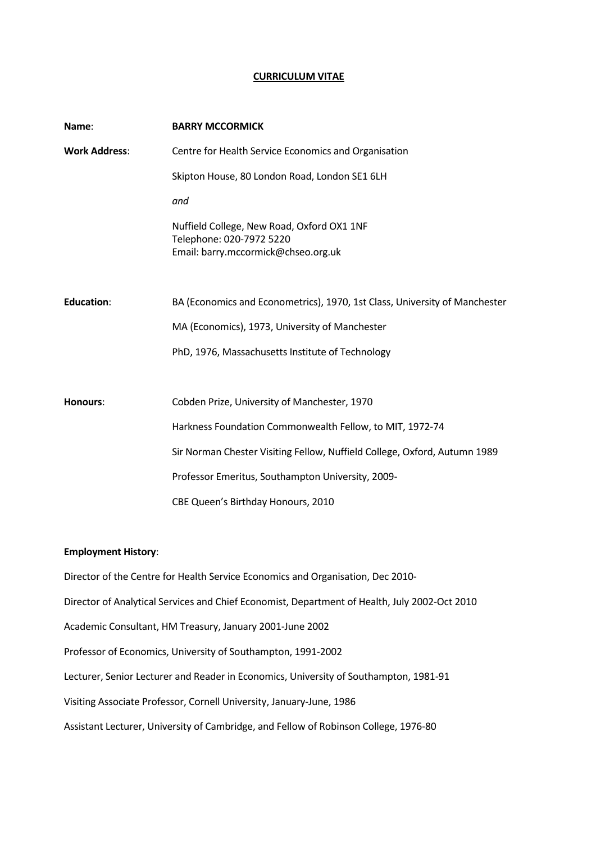#### **CURRICULUM VITAE**

| Name:                | <b>BARRY MCCORMICK</b>                                                                                        |
|----------------------|---------------------------------------------------------------------------------------------------------------|
| <b>Work Address:</b> | Centre for Health Service Economics and Organisation                                                          |
|                      | Skipton House, 80 London Road, London SE1 6LH                                                                 |
|                      | and                                                                                                           |
|                      | Nuffield College, New Road, Oxford OX1 1NF<br>Telephone: 020-7972 5220<br>Email: barry.mccormick@chseo.org.uk |
| <b>Education:</b>    | BA (Economics and Econometrics), 1970, 1st Class, University of Manchester                                    |
|                      | MA (Economics), 1973, University of Manchester                                                                |
|                      | PhD, 1976, Massachusetts Institute of Technology                                                              |
|                      |                                                                                                               |
| <b>Honours:</b>      | Cobden Prize, University of Manchester, 1970                                                                  |
|                      | Harkness Foundation Commonwealth Fellow, to MIT, 1972-74                                                      |
|                      | Sir Norman Chester Visiting Fellow, Nuffield College, Oxford, Autumn 1989                                     |
|                      | Professor Emeritus, Southampton University, 2009-                                                             |
|                      | CBE Queen's Birthday Honours, 2010                                                                            |

## **Employment History**:

Director of the Centre for Health Service Economics and Organisation, Dec 2010- Director of Analytical Services and Chief Economist, Department of Health, July 2002-Oct 2010 Academic Consultant, HM Treasury, January 2001-June 2002 Professor of Economics, University of Southampton, 1991-2002 Lecturer, Senior Lecturer and Reader in Economics, University of Southampton, 1981-91 Visiting Associate Professor, Cornell University, January-June, 1986 Assistant Lecturer, University of Cambridge, and Fellow of Robinson College, 1976-80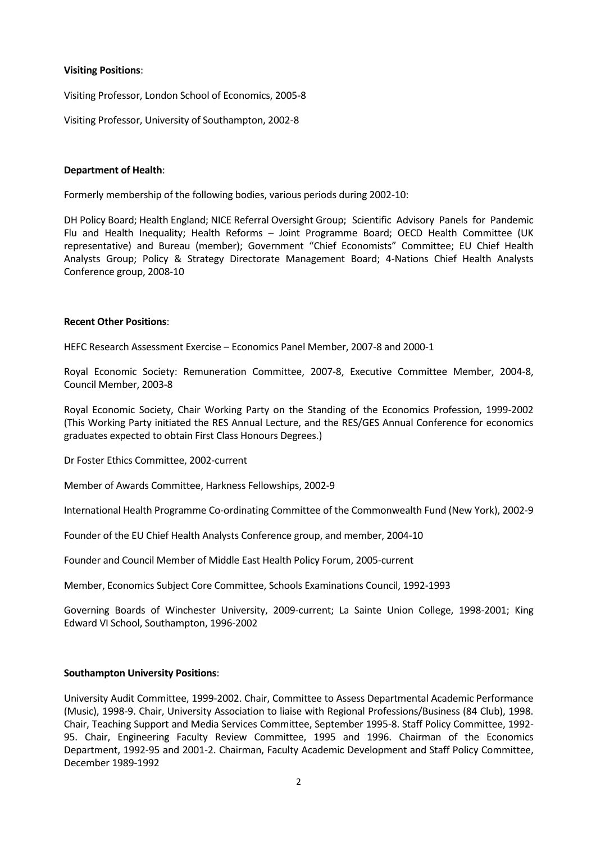#### **Visiting Positions**:

Visiting Professor, London School of Economics, 2005-8

Visiting Professor, University of Southampton, 2002-8

## **Department of Health**:

Formerly membership of the following bodies, various periods during 2002-10:

DH Policy Board; Health England; NICE Referral Oversight Group; Scientific Advisory Panels for Pandemic Flu and Health Inequality; Health Reforms – Joint Programme Board; OECD Health Committee (UK representative) and Bureau (member); Government "Chief Economists" Committee; EU Chief Health Analysts Group; Policy & Strategy Directorate Management Board; 4-Nations Chief Health Analysts Conference group, 2008-10

#### **Recent Other Positions**:

HEFC Research Assessment Exercise – Economics Panel Member, 2007-8 and 2000-1

Royal Economic Society: Remuneration Committee, 2007-8, Executive Committee Member, 2004-8, Council Member, 2003-8

Royal Economic Society, Chair Working Party on the Standing of the Economics Profession, 1999-2002 (This Working Party initiated the RES Annual Lecture, and the RES/GES Annual Conference for economics graduates expected to obtain First Class Honours Degrees.)

Dr Foster Ethics Committee, 2002-current

Member of Awards Committee, Harkness Fellowships, 2002-9

International Health Programme Co-ordinating Committee of the Commonwealth Fund (New York), 2002-9

Founder of the EU Chief Health Analysts Conference group, and member, 2004-10

Founder and Council Member of Middle East Health Policy Forum, 2005-current

Member, Economics Subject Core Committee, Schools Examinations Council, 1992-1993

Governing Boards of Winchester University, 2009-current; La Sainte Union College, 1998-2001; King Edward VI School, Southampton, 1996-2002

## **Southampton University Positions**:

University Audit Committee, 1999-2002. Chair, Committee to Assess Departmental Academic Performance (Music), 1998-9. Chair, University Association to liaise with Regional Professions/Business (84 Club), 1998. Chair, Teaching Support and Media Services Committee, September 1995-8. Staff Policy Committee, 1992- 95. Chair, Engineering Faculty Review Committee, 1995 and 1996. Chairman of the Economics Department, 1992-95 and 2001-2. Chairman, Faculty Academic Development and Staff Policy Committee, December 1989-1992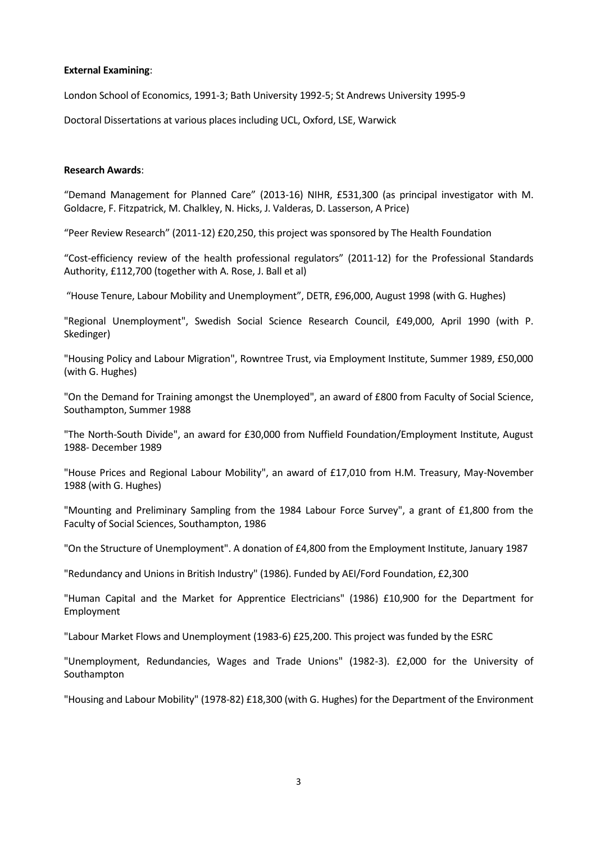#### **External Examining**:

London School of Economics, 1991-3; Bath University 1992-5; St Andrews University 1995-9

Doctoral Dissertations at various places including UCL, Oxford, LSE, Warwick

#### **Research Awards**:

"Demand Management for Planned Care" (2013-16) NIHR, £531,300 (as principal investigator with M. Goldacre, F. Fitzpatrick, M. Chalkley, N. Hicks, J. Valderas, D. Lasserson, A Price)

"Peer Review Research" (2011-12) £20,250, this project was sponsored by The Health Foundation

"Cost-efficiency review of the health professional regulators" (2011-12) for the Professional Standards Authority, £112,700 (together with A. Rose, J. Ball et al)

"House Tenure, Labour Mobility and Unemployment", DETR, £96,000, August 1998 (with G. Hughes)

"Regional Unemployment", Swedish Social Science Research Council, £49,000, April 1990 (with P. Skedinger)

"Housing Policy and Labour Migration", Rowntree Trust, via Employment Institute, Summer 1989, £50,000 (with G. Hughes)

"On the Demand for Training amongst the Unemployed", an award of £800 from Faculty of Social Science, Southampton, Summer 1988

"The North-South Divide", an award for £30,000 from Nuffield Foundation/Employment Institute, August 1988- December 1989

"House Prices and Regional Labour Mobility", an award of £17,010 from H.M. Treasury, May-November 1988 (with G. Hughes)

"Mounting and Preliminary Sampling from the 1984 Labour Force Survey", a grant of £1,800 from the Faculty of Social Sciences, Southampton, 1986

"On the Structure of Unemployment". A donation of £4,800 from the Employment Institute, January 1987

"Redundancy and Unions in British Industry" (1986). Funded by AEI/Ford Foundation, £2,300

"Human Capital and the Market for Apprentice Electricians" (1986) £10,900 for the Department for Employment

"Labour Market Flows and Unemployment (1983-6) £25,200. This project was funded by the ESRC

"Unemployment, Redundancies, Wages and Trade Unions" (1982-3). £2,000 for the University of Southampton

"Housing and Labour Mobility" (1978-82) £18,300 (with G. Hughes) for the Department of the Environment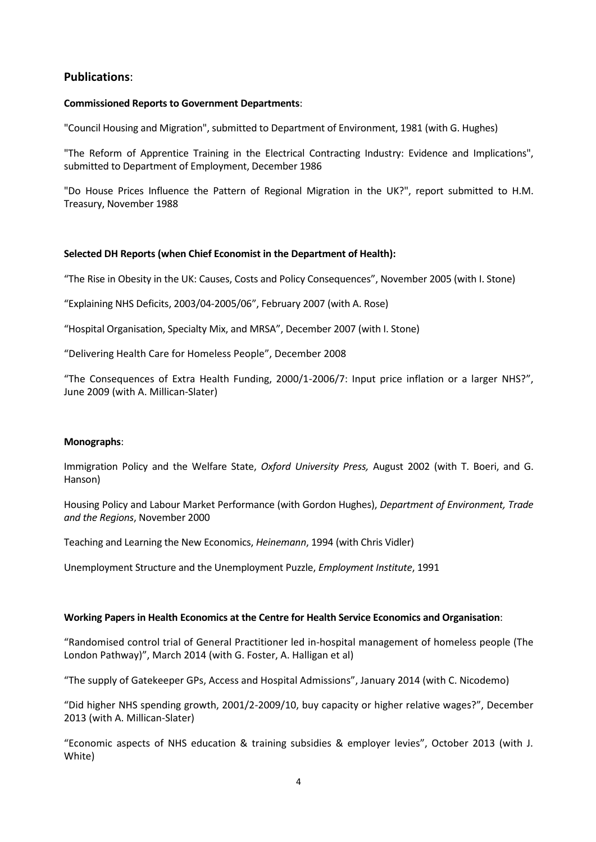# **Publications**:

## **Commissioned Reports to Government Departments**:

"Council Housing and Migration", submitted to Department of Environment, 1981 (with G. Hughes)

"The Reform of Apprentice Training in the Electrical Contracting Industry: Evidence and Implications", submitted to Department of Employment, December 1986

"Do House Prices Influence the Pattern of Regional Migration in the UK?", report submitted to H.M. Treasury, November 1988

# **Selected DH Reports (when Chief Economist in the Department of Health):**

"The Rise in Obesity in the UK: Causes, Costs and Policy Consequences", November 2005 (with I. Stone)

"Explaining NHS Deficits, 2003/04-2005/06", February 2007 (with A. Rose)

"Hospital Organisation, Specialty Mix, and MRSA", December 2007 (with I. Stone)

"Delivering Health Care for Homeless People", December 2008

"The Consequences of Extra Health Funding, 2000/1-2006/7: Input price inflation or a larger NHS?", June 2009 (with A. Millican-Slater)

## **Monographs**:

Immigration Policy and the Welfare State, *Oxford University Press,* August 2002 (with T. Boeri, and G. Hanson)

Housing Policy and Labour Market Performance (with Gordon Hughes), *Department of Environment, Trade and the Regions*, November 2000

Teaching and Learning the New Economics, *Heinemann*, 1994 (with Chris Vidler)

Unemployment Structure and the Unemployment Puzzle, *Employment Institute*, 1991

## **Working Papers in Health Economics at the Centre for Health Service Economics and Organisation**:

"Randomised control trial of General Practitioner led in-hospital management of homeless people (The London Pathway)", March 2014 (with G. Foster, A. Halligan et al)

"The supply of Gatekeeper GPs, Access and Hospital Admissions", January 2014 (with C. Nicodemo)

"Did higher NHS spending growth, 2001/2-2009/10, buy capacity or higher relative wages?", December 2013 (with A. Millican-Slater)

"Economic aspects of NHS education & training subsidies & employer levies", October 2013 (with J. White)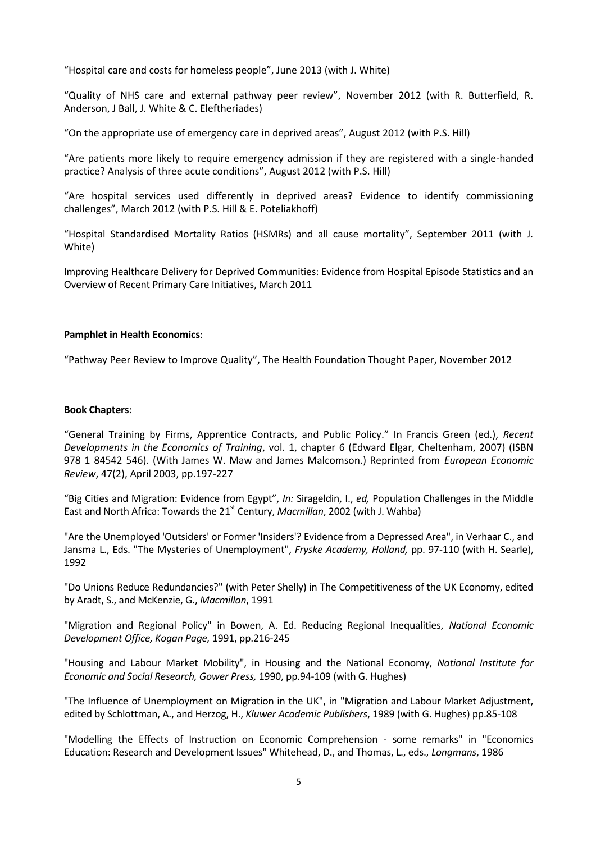"Hospital care and costs for homeless people", June 2013 (with J. White)

"Quality of NHS care and external pathway peer review", November 2012 (with R. Butterfield, R. Anderson, J Ball, J. White & C. Eleftheriades)

"On the appropriate use of emergency care in deprived areas", August 2012 (with P.S. Hill)

"Are patients more likely to require emergency admission if they are registered with a single-handed practice? Analysis of three acute conditions", August 2012 (with P.S. Hill)

"Are hospital services used differently in deprived areas? Evidence to identify commissioning challenges", March 2012 (with P.S. Hill & E. Poteliakhoff)

"Hospital Standardised Mortality Ratios (HSMRs) and all cause mortality", September 2011 (with J. White)

Improving Healthcare Delivery for Deprived Communities: Evidence from Hospital Episode Statistics and an Overview of Recent Primary Care Initiatives, March 2011

#### **Pamphlet in Health Economics**:

"Pathway Peer Review to Improve Quality", The Health Foundation Thought Paper, November 2012

#### **Book Chapters**:

"General Training by Firms, Apprentice Contracts, and Public Policy." In Francis Green (ed.), *Recent Developments in the Economics of Training*, vol. 1, chapter 6 (Edward Elgar, Cheltenham, 2007) (ISBN 978 1 84542 546). (With James W. Maw and James Malcomson.) Reprinted from *European Economic Review*, 47(2), April 2003, pp.197-227

"Big Cities and Migration: Evidence from Egypt", *In:* Sirageldin, I., *ed,* Population Challenges in the Middle East and North Africa: Towards the 21<sup>st</sup> Century, *Macmillan*, 2002 (with J. Wahba)

"Are the Unemployed 'Outsiders' or Former 'Insiders'? Evidence from a Depressed Area", in Verhaar C., and Jansma L., Eds. "The Mysteries of Unemployment", *Fryske Academy, Holland,* pp. 97-110 (with H. Searle), 1992

"Do Unions Reduce Redundancies?" (with Peter Shelly) in The Competitiveness of the UK Economy, edited by Aradt, S., and McKenzie, G., *Macmillan*, 1991

"Migration and Regional Policy" in Bowen, A. Ed. Reducing Regional Inequalities, *National Economic Development Office, Kogan Page,* 1991, pp.216-245

"Housing and Labour Market Mobility", in Housing and the National Economy, *National Institute for Economic and Social Research, Gower Press,* 1990, pp.94-109 (with G. Hughes)

"The Influence of Unemployment on Migration in the UK", in "Migration and Labour Market Adjustment, edited by Schlottman, A., and Herzog, H., *Kluwer Academic Publishers*, 1989 (with G. Hughes) pp.85-108

"Modelling the Effects of Instruction on Economic Comprehension - some remarks" in "Economics Education: Research and Development Issues" Whitehead, D., and Thomas, L., eds., *Longmans*, 1986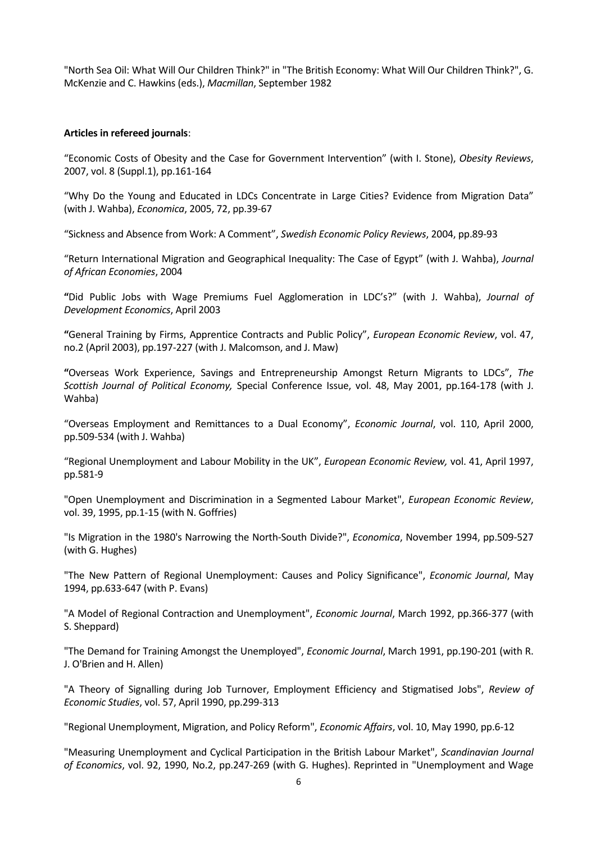"North Sea Oil: What Will Our Children Think?" in "The British Economy: What Will Our Children Think?", G. McKenzie and C. Hawkins (eds.), *Macmillan*, September 1982

#### **Articles in refereed journals**:

"Economic Costs of Obesity and the Case for Government Intervention" (with I. Stone), *Obesity Reviews*, 2007, vol. 8 (Suppl.1), pp.161-164

"Why Do the Young and Educated in LDCs Concentrate in Large Cities? Evidence from Migration Data" (with J. Wahba), *Economica*, 2005, 72, pp.39-67

"Sickness and Absence from Work: A Comment", *Swedish Economic Policy Reviews*, 2004, pp.89-93

"Return International Migration and Geographical Inequality: The Case of Egypt" (with J. Wahba), *Journal of African Economies*, 2004

**"**Did Public Jobs with Wage Premiums Fuel Agglomeration in LDC's?" (with J. Wahba), *Journal of Development Economics*, April 2003

**"**General Training by Firms, Apprentice Contracts and Public Policy", *European Economic Review*, vol. 47, no.2 (April 2003), pp.197-227 (with J. Malcomson, and J. Maw)

**"**Overseas Work Experience, Savings and Entrepreneurship Amongst Return Migrants to LDCs", *The Scottish Journal of Political Economy,* Special Conference Issue, vol. 48, May 2001, pp.164-178 (with J. Wahba)

"Overseas Employment and Remittances to a Dual Economy", *Economic Journal*, vol. 110, April 2000, pp.509-534 (with J. Wahba)

"Regional Unemployment and Labour Mobility in the UK", *European Economic Review,* vol. 41, April 1997, pp.581-9

"Open Unemployment and Discrimination in a Segmented Labour Market", *European Economic Review*, vol. 39, 1995, pp.1-15 (with N. Goffries)

"Is Migration in the 1980's Narrowing the North-South Divide?", *Economica*, November 1994, pp.509-527 (with G. Hughes)

"The New Pattern of Regional Unemployment: Causes and Policy Significance", *Economic Journal*, May 1994, pp.633-647 (with P. Evans)

"A Model of Regional Contraction and Unemployment", *Economic Journal*, March 1992, pp.366-377 (with S. Sheppard)

"The Demand for Training Amongst the Unemployed", *Economic Journal*, March 1991, pp.190-201 (with R. J. O'Brien and H. Allen)

"A Theory of Signalling during Job Turnover, Employment Efficiency and Stigmatised Jobs", *Review of Economic Studies*, vol. 57, April 1990, pp.299-313

"Regional Unemployment, Migration, and Policy Reform", *Economic Affairs*, vol. 10, May 1990, pp.6-12

"Measuring Unemployment and Cyclical Participation in the British Labour Market", *Scandinavian Journal of Economics*, vol. 92, 1990, No.2, pp.247-269 (with G. Hughes). Reprinted in "Unemployment and Wage